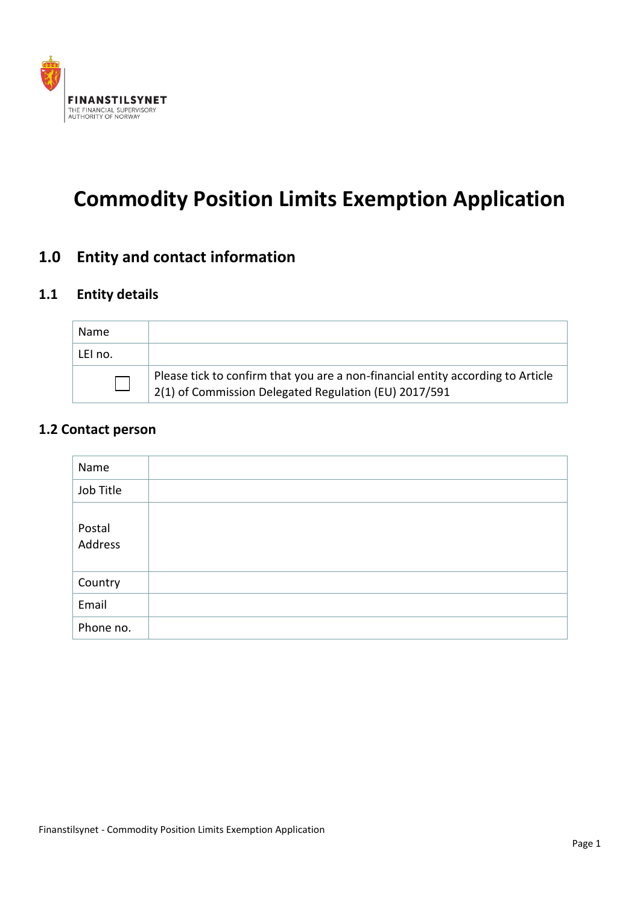

# **Commodity Position Limits Exemption Application**

# **1.0 Entity and contact information**

#### **1.1 Entity details**

| Name    |                                                                                                                                          |
|---------|------------------------------------------------------------------------------------------------------------------------------------------|
| LEI no. |                                                                                                                                          |
|         | Please tick to confirm that you are a non-financial entity according to Article<br>2(1) of Commission Delegated Regulation (EU) 2017/591 |

#### **1.2 Contact person**

| Name              |  |
|-------------------|--|
| Job Title         |  |
| Postal<br>Address |  |
| Country           |  |
| Email             |  |
| Phone no.         |  |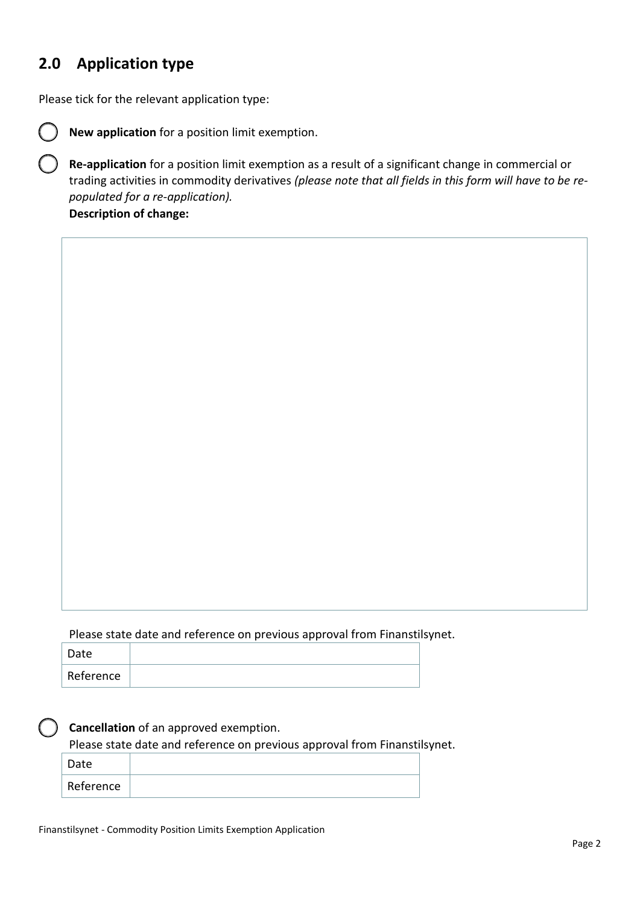## **2.0 Application type**

Please tick for the relevant application type:



**New application** for a position limit exemption.

**Re-application** for a position limit exemption as a result of a significant change in commercial or trading activities in commodity derivatives *(please note that all fields in this form will have to be repopulated for a re-application).*

**Description of change:**

Please state date and reference on previous approval from Finanstilsynet.

| Date      |  |
|-----------|--|
| Reference |  |

#### **Cancellation** of an approved exemption.

Please state date and reference on previous approval from Finanstilsynet.

| Date      |  |
|-----------|--|
| Reference |  |
|           |  |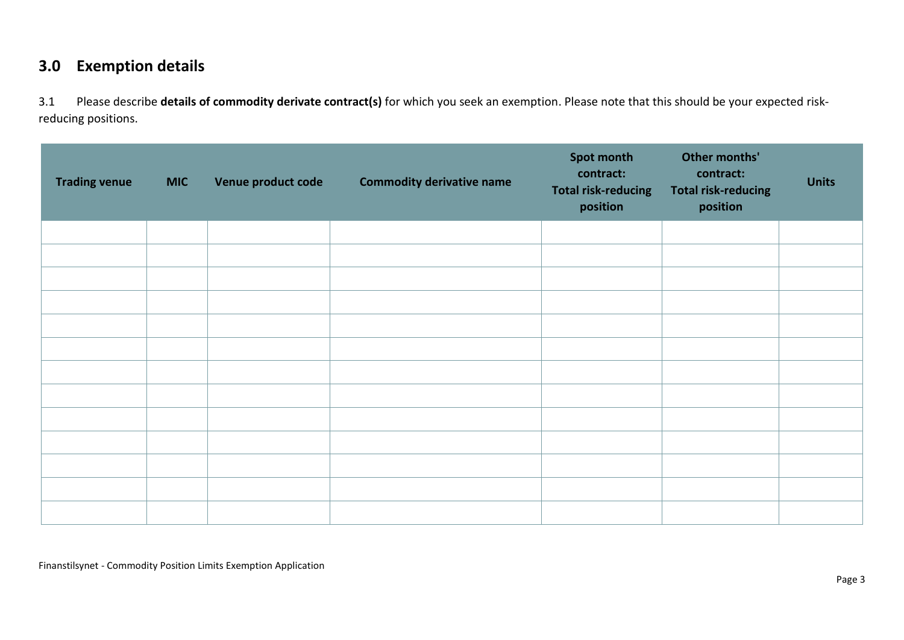### **3.0 Exemption details**

3.1 Please describe **details of commodity derivate contract(s)** for which you seek an exemption. Please note that this should be your expected riskreducing positions.

| <b>Trading venue</b> | <b>MIC</b> | Venue product code | <b>Commodity derivative name</b> | Spot month<br>contract:<br><b>Total risk-reducing</b><br>position | Other months'<br>contract:<br><b>Total risk-reducing</b><br>position | <b>Units</b> |
|----------------------|------------|--------------------|----------------------------------|-------------------------------------------------------------------|----------------------------------------------------------------------|--------------|
|                      |            |                    |                                  |                                                                   |                                                                      |              |
|                      |            |                    |                                  |                                                                   |                                                                      |              |
|                      |            |                    |                                  |                                                                   |                                                                      |              |
|                      |            |                    |                                  |                                                                   |                                                                      |              |
|                      |            |                    |                                  |                                                                   |                                                                      |              |
|                      |            |                    |                                  |                                                                   |                                                                      |              |
|                      |            |                    |                                  |                                                                   |                                                                      |              |
|                      |            |                    |                                  |                                                                   |                                                                      |              |
|                      |            |                    |                                  |                                                                   |                                                                      |              |
|                      |            |                    |                                  |                                                                   |                                                                      |              |
|                      |            |                    |                                  |                                                                   |                                                                      |              |
|                      |            |                    |                                  |                                                                   |                                                                      |              |
|                      |            |                    |                                  |                                                                   |                                                                      |              |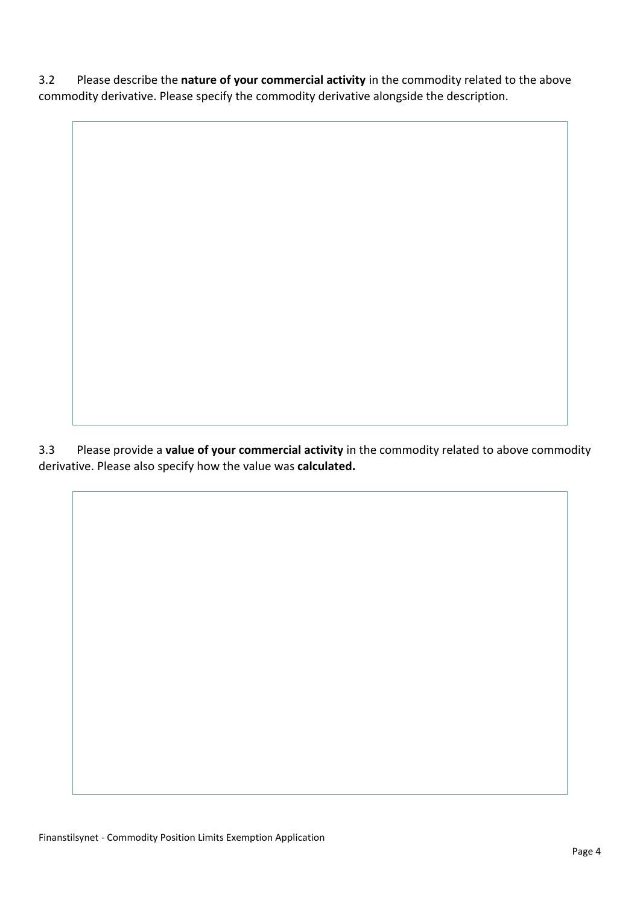3.2 Please describe the **nature of your commercial activity** in the commodity related to the above commodity derivative. Please specify the commodity derivative alongside the description.

3.3 Please provide a **value of your commercial activity** in the commodity related to above commodity derivative. Please also specify how the value was **calculated.**

Finanstilsynet - Commodity Position Limits Exemption Application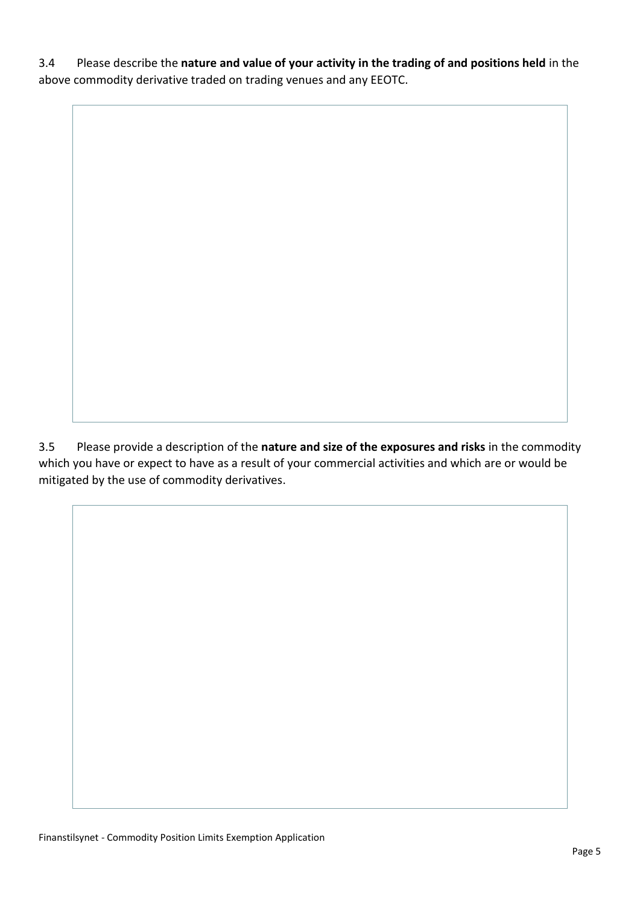3.4 Please describe the **nature and value of your activity in the trading of and positions held** in the above commodity derivative traded on trading venues and any EEOTC.

3.5 Please provide a description of the **nature and size of the exposures and risks** in the commodity which you have or expect to have as a result of your commercial activities and which are or would be mitigated by the use of commodity derivatives.

Finanstilsynet - Commodity Position Limits Exemption Application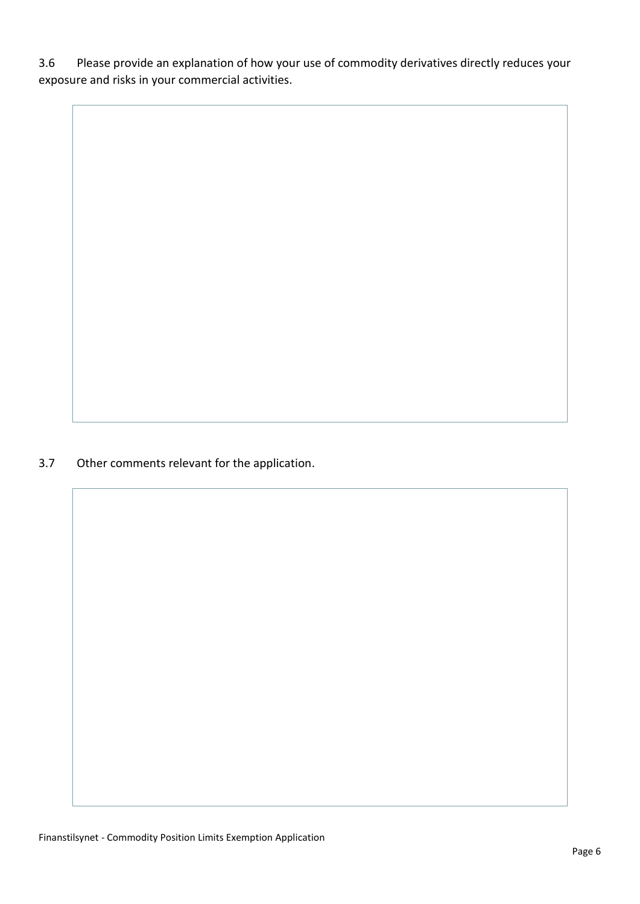3.6 Please provide an explanation of how your use of commodity derivatives directly reduces your exposure and risks in your commercial activities.

3.7 Other comments relevant for the application.

Finanstilsynet - Commodity Position Limits Exemption Application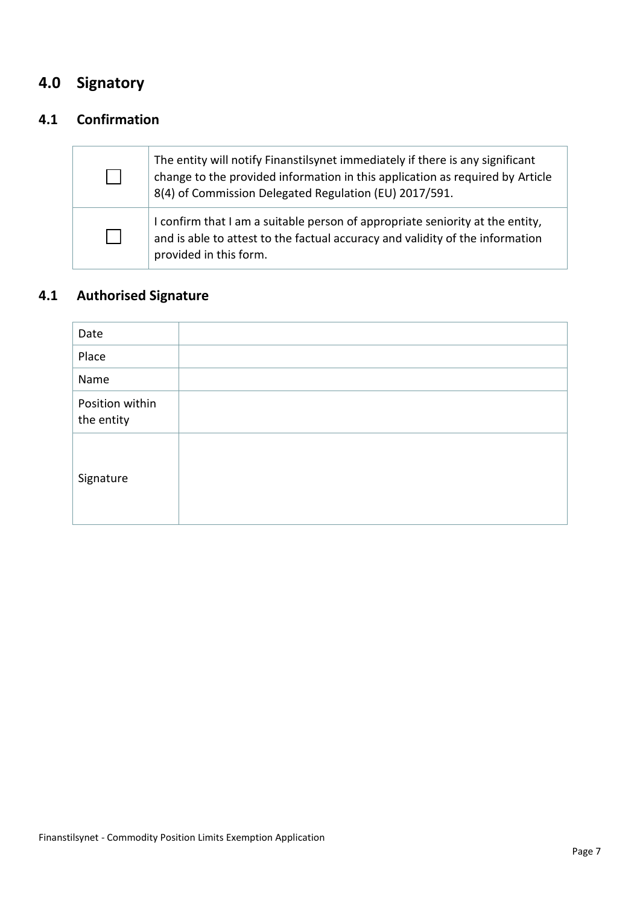# **4.0 Signatory**

### **4.1 Confirmation**

| The entity will notify Finanstilsynet immediately if there is any significant<br>change to the provided information in this application as required by Article<br>8(4) of Commission Delegated Regulation (EU) 2017/591. |
|--------------------------------------------------------------------------------------------------------------------------------------------------------------------------------------------------------------------------|
| I confirm that I am a suitable person of appropriate seniority at the entity,<br>and is able to attest to the factual accuracy and validity of the information<br>provided in this form.                                 |

# **4.1 Authorised Signature**

| Date                          |  |
|-------------------------------|--|
| Place                         |  |
| Name                          |  |
| Position within<br>the entity |  |
| Signature                     |  |